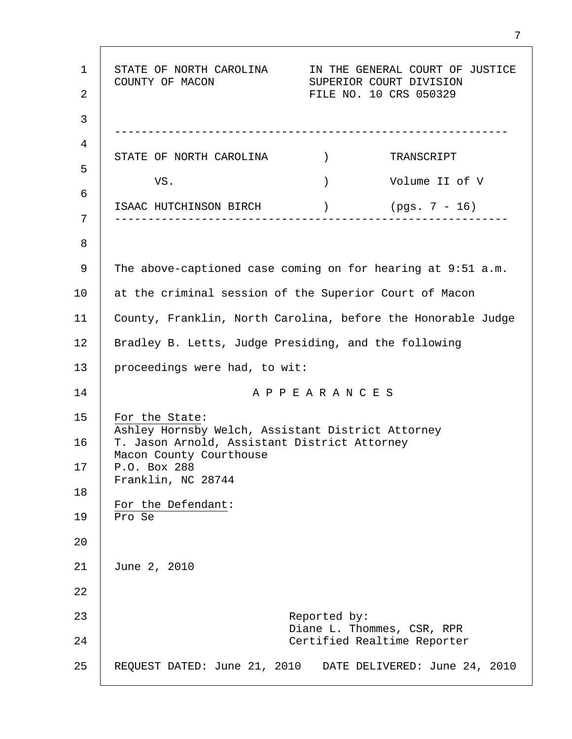1 2 3 4 5 6 7 8 9 10 11 12 13 14 15 16 17 18 19 20 21 22 23 24 25 STATE OF NORTH CAROLINA IN THE GENERAL COURT OF JUSTICE COUNTY OF MACON SUPERIOR COURT DIVISION FILE NO. 10 CRS 050329 ----------------------------------------------------------- STATE OF NORTH CAROLINA  $\qquad$ ) TRANSCRIPT VS. ) Volume II of V ISAAC HUTCHINSON BIRCH ) (pgs. 7 - 16) ----------------------------------------------------------- The above-captioned case coming on for hearing at 9:51 a.m. at the criminal session of the Superior Court of Macon County, Franklin, North Carolina, before the Honorable Judge Bradley B. Letts, Judge Presiding, and the following proceedings were had, to wit: A P P E A R A N C E S For the State: Ashley Hornsby Welch, Assistant District Attorney T. Jason Arnold, Assistant District Attorney Macon County Courthouse P.O. Box 288 Franklin, NC 28744 For the Defendant: Pro Se June 2, 2010 Reported by: Diane L. Thommes, CSR, RPR Certified Realtime Reporter REQUEST DATED: June 21, 2010 DATE DELIVERED: June 24, 2010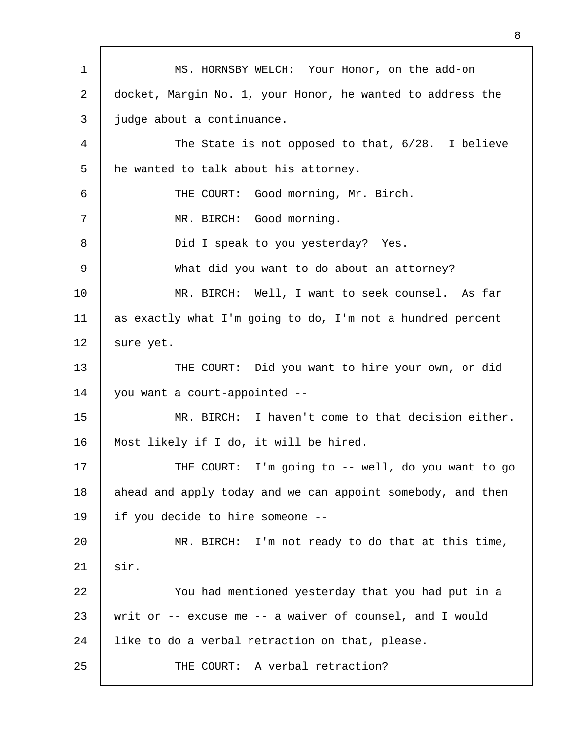| $\mathbf 1$ | MS. HORNSBY WELCH: Your Honor, on the add-on                |  |
|-------------|-------------------------------------------------------------|--|
| 2           | docket, Margin No. 1, your Honor, he wanted to address the  |  |
| 3           | judge about a continuance.                                  |  |
| 4           | The State is not opposed to that, 6/28. I believe           |  |
| 5           | he wanted to talk about his attorney.                       |  |
| 6           | THE COURT: Good morning, Mr. Birch.                         |  |
| 7           | MR. BIRCH: Good morning.                                    |  |
| 8           | Did I speak to you yesterday? Yes.                          |  |
| 9           | What did you want to do about an attorney?                  |  |
| 10          | MR. BIRCH: Well, I want to seek counsel. As far             |  |
| 11          | as exactly what I'm going to do, I'm not a hundred percent  |  |
| 12          | sure yet.                                                   |  |
| 13          | THE COURT: Did you want to hire your own, or did            |  |
| 14          | you want a court-appointed --                               |  |
| 15          | MR. BIRCH: I haven't come to that decision either.          |  |
| 16          | Most likely if I do, it will be hired.                      |  |
| 17          | THE COURT: I'm going to -- well, do you want to go          |  |
| 18          | ahead and apply today and we can appoint somebody, and then |  |
| 19          | if you decide to hire someone --                            |  |
| 20          | MR. BIRCH: I'm not ready to do that at this time,           |  |
| 21          | sir.                                                        |  |
| 22          | You had mentioned yesterday that you had put in a           |  |
| 23          | writ or -- excuse me -- a waiver of counsel, and I would    |  |
| 24          | like to do a verbal retraction on that, please.             |  |
| 25          | THE COURT: A verbal retraction?                             |  |
|             |                                                             |  |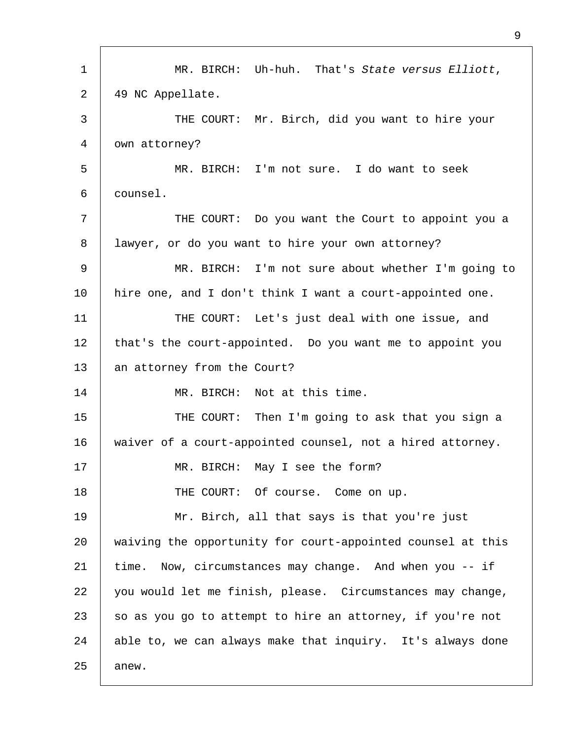| 1  | MR. BIRCH: Uh-huh. That's State versus Elliott,             |  |
|----|-------------------------------------------------------------|--|
| 2  | 49 NC Appellate.                                            |  |
| 3  | THE COURT: Mr. Birch, did you want to hire your             |  |
| 4  | own attorney?                                               |  |
| 5  | MR. BIRCH: I'm not sure. I do want to seek                  |  |
| 6  | counsel.                                                    |  |
| 7  | THE COURT: Do you want the Court to appoint you a           |  |
| 8  | lawyer, or do you want to hire your own attorney?           |  |
| 9  | MR. BIRCH: I'm not sure about whether I'm going to          |  |
| 10 | hire one, and I don't think I want a court-appointed one.   |  |
| 11 | THE COURT: Let's just deal with one issue, and              |  |
| 12 | that's the court-appointed. Do you want me to appoint you   |  |
| 13 | an attorney from the Court?                                 |  |
| 14 | MR. BIRCH: Not at this time.                                |  |
| 15 | THE COURT: Then I'm going to ask that you sign a            |  |
| 16 | waiver of a court-appointed counsel, not a hired attorney.  |  |
| 17 | MR. BIRCH: May I see the form?                              |  |
| 18 | THE COURT: Of course. Come on up.                           |  |
| 19 | Mr. Birch, all that says is that you're just                |  |
| 20 | waiving the opportunity for court-appointed counsel at this |  |
| 21 | time. Now, circumstances may change. And when you -- if     |  |
| 22 | you would let me finish, please. Circumstances may change,  |  |
| 23 | so as you go to attempt to hire an attorney, if you're not  |  |
| 24 | able to, we can always make that inquiry. It's always done  |  |
| 25 | anew.                                                       |  |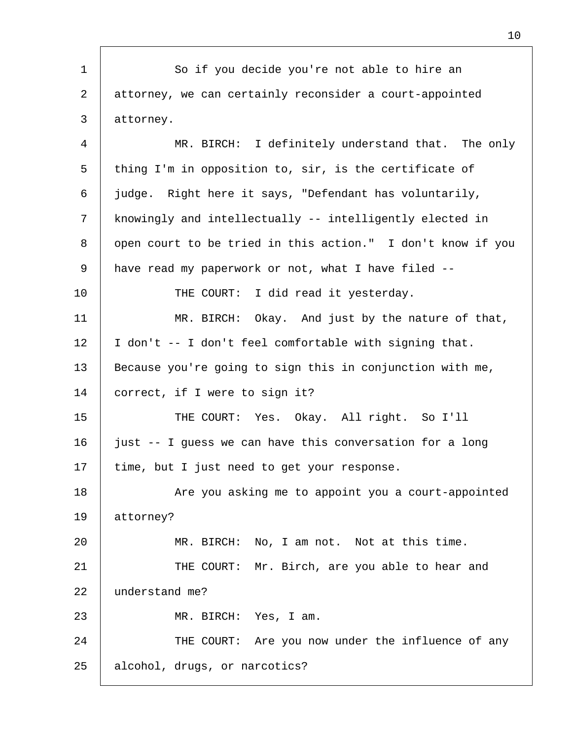1 2 3 4 5 6 7 8 9 10 11 12 13 14 15 16 17 18 19 20 21 22 23 24 25 So if you decide you're not able to hire an attorney, we can certainly reconsider a court-appointed attorney. MR. BIRCH: I definitely understand that. The only thing I'm in opposition to, sir, is the certificate of judge. Right here it says, "Defendant has voluntarily, knowingly and intellectually -- intelligently elected in open court to be tried in this action." I don't know if you have read my paperwork or not, what I have filed -- THE COURT: I did read it yesterday. MR. BIRCH: Okay. And just by the nature of that, I don't -- I don't feel comfortable with signing that. Because you're going to sign this in conjunction with me, correct, if I were to sign it? THE COURT: Yes. Okay. All right. So I'll just -- I guess we can have this conversation for a long time, but I just need to get your response. Are you asking me to appoint you a court-appointed attorney? MR. BIRCH: No, I am not. Not at this time. THE COURT: Mr. Birch, are you able to hear and understand me? MR. BIRCH: Yes, I am. THE COURT: Are you now under the influence of any alcohol, drugs, or narcotics?

10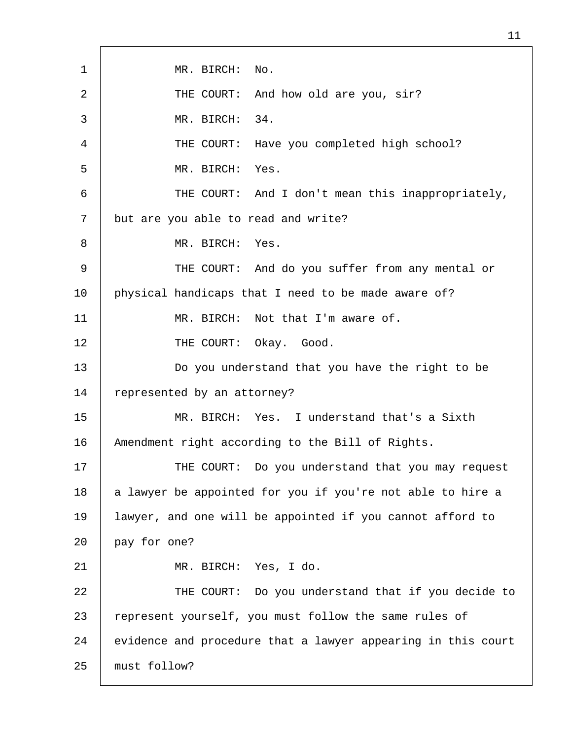| 1           | No.<br>MR. BIRCH:                                            |  |  |
|-------------|--------------------------------------------------------------|--|--|
| 2           | THE COURT:<br>And how old are you, sir?                      |  |  |
| 3           | 34.<br>MR. BIRCH:                                            |  |  |
| 4           | THE COURT:<br>Have you completed high school?                |  |  |
| 5           | MR. BIRCH: Yes.                                              |  |  |
| 6           | THE COURT: And I don't mean this inappropriately,            |  |  |
| 7           | but are you able to read and write?                          |  |  |
| 8           | MR. BIRCH:<br>Yes.                                           |  |  |
| $\mathsf 9$ | THE COURT: And do you suffer from any mental or              |  |  |
| 10          | physical handicaps that I need to be made aware of?          |  |  |
| 11          | Not that I'm aware of.<br>MR. BIRCH:                         |  |  |
| 12          | THE COURT: Okay. Good.                                       |  |  |
| 13          | Do you understand that you have the right to be              |  |  |
| 14          | represented by an attorney?                                  |  |  |
| 15          | MR. BIRCH: Yes. I understand that's a Sixth                  |  |  |
| 16          | Amendment right according to the Bill of Rights.             |  |  |
| 17          | THE COURT: Do you understand that you may request            |  |  |
| 18          | a lawyer be appointed for you if you're not able to hire a   |  |  |
| 19          | lawyer, and one will be appointed if you cannot afford to    |  |  |
| 20          | pay for one?                                                 |  |  |
| 21          | MR. BIRCH: Yes, I do.                                        |  |  |
| 22          | THE COURT: Do you understand that if you decide to           |  |  |
| 23          | represent yourself, you must follow the same rules of        |  |  |
| 24          | evidence and procedure that a lawyer appearing in this court |  |  |
| 25          | must follow?                                                 |  |  |

Г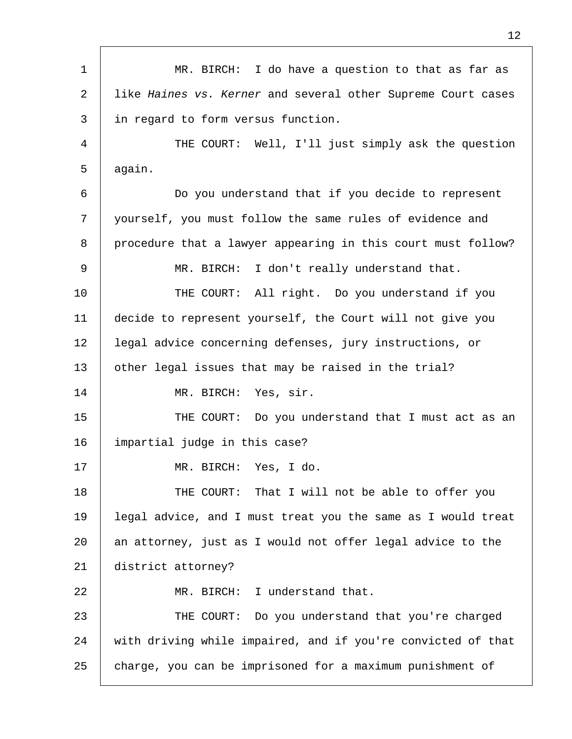| $\mathbf{1}$ | MR. BIRCH: I do have a question to that as far as            |  |
|--------------|--------------------------------------------------------------|--|
| 2            | like Haines vs. Kerner and several other Supreme Court cases |  |
| 3            | in regard to form versus function.                           |  |
| 4            | THE COURT: Well, I'll just simply ask the question           |  |
| 5            | again.                                                       |  |
| 6            | Do you understand that if you decide to represent            |  |
| 7            | yourself, you must follow the same rules of evidence and     |  |
| 8            | procedure that a lawyer appearing in this court must follow? |  |
| 9            | MR. BIRCH: I don't really understand that.                   |  |
| 10           | THE COURT: All right. Do you understand if you               |  |
| 11           | decide to represent yourself, the Court will not give you    |  |
| 12           | legal advice concerning defenses, jury instructions, or      |  |
| 13           | other legal issues that may be raised in the trial?          |  |
| 14           | MR. BIRCH: Yes, sir.                                         |  |
| 15           | THE COURT: Do you understand that I must act as an           |  |
| 16           | impartial judge in this case?                                |  |
| 17           | MR. BIRCH: Yes, I do.                                        |  |
| 18           | That I will not be able to offer you<br>THE COURT:           |  |
| 19           | legal advice, and I must treat you the same as I would treat |  |
| 20           | an attorney, just as I would not offer legal advice to the   |  |
| 21           | district attorney?                                           |  |
| 22           | MR. BIRCH: I understand that.                                |  |
| 23           | THE COURT: Do you understand that you're charged             |  |
| 24           | with driving while impaired, and if you're convicted of that |  |
| 25           | charge, you can be imprisoned for a maximum punishment of    |  |

Г

12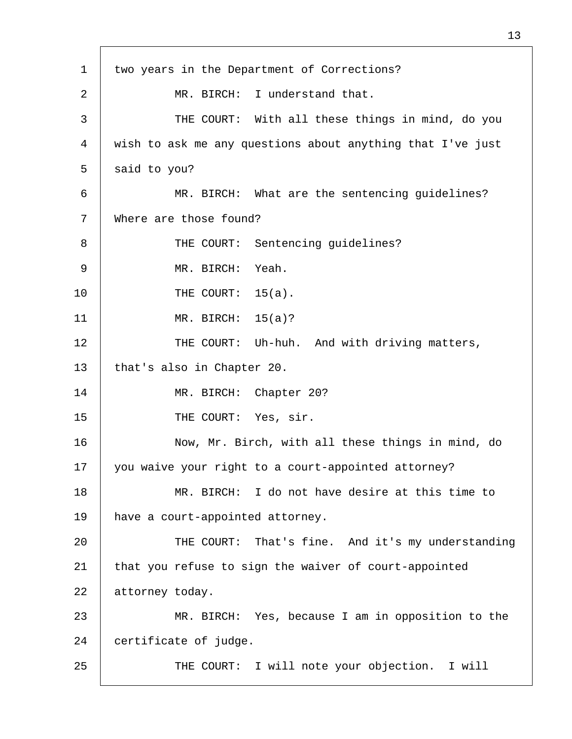| $\mathbf 1$ | two years in the Department of Corrections?                |  |
|-------------|------------------------------------------------------------|--|
| 2           | MR. BIRCH: I understand that.                              |  |
| 3           | THE COURT: With all these things in mind, do you           |  |
| 4           | wish to ask me any questions about anything that I've just |  |
| 5           | said to you?                                               |  |
| 6           | MR. BIRCH: What are the sentencing guidelines?             |  |
| 7           | Where are those found?                                     |  |
| 8           | THE COURT: Sentencing guidelines?                          |  |
| 9           | Yeah.<br>MR. BIRCH:                                        |  |
| 10          | THE COURT:<br>$15(a)$ .                                    |  |
| 11          | MR. BIRCH: $15(a)?$                                        |  |
| 12          | THE COURT: Uh-huh. And with driving matters,               |  |
| 13          | that's also in Chapter 20.                                 |  |
| 14          | MR. BIRCH: Chapter 20?                                     |  |
| 15          | THE COURT: Yes, sir.                                       |  |
| 16          | Now, Mr. Birch, with all these things in mind, do          |  |
| 17          | you waive your right to a court-appointed attorney?        |  |
| 18          | MR. BIRCH: I do not have desire at this time to            |  |
| 19          | have a court-appointed attorney.                           |  |
| 20          | THE COURT: That's fine. And it's my understanding          |  |
| 21          | that you refuse to sign the waiver of court-appointed      |  |
| 22          | attorney today.                                            |  |
| 23          | MR. BIRCH: Yes, because I am in opposition to the          |  |
| 24          | certificate of judge.                                      |  |
| 25          | THE COURT: I will note your objection. I will              |  |
|             |                                                            |  |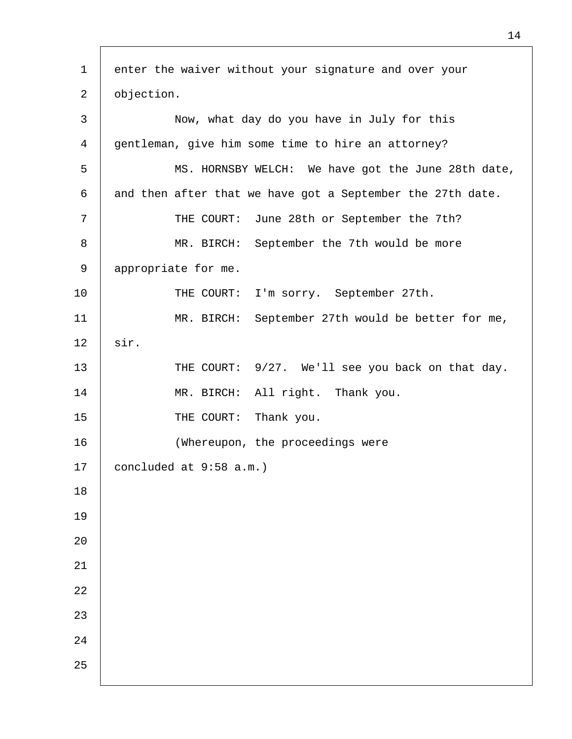| $\mathbf 1$    | enter the waiver without your signature and over your      |  |  |
|----------------|------------------------------------------------------------|--|--|
| 2              | objection.                                                 |  |  |
| 3              | Now, what day do you have in July for this                 |  |  |
| $\overline{4}$ | gentleman, give him some time to hire an attorney?         |  |  |
| 5              | MS. HORNSBY WELCH: We have got the June 28th date,         |  |  |
| 6              | and then after that we have got a September the 27th date. |  |  |
| 7              | June 28th or September the 7th?<br>THE COURT:              |  |  |
| 8              | MR. BIRCH: September the 7th would be more                 |  |  |
| 9              | appropriate for me.                                        |  |  |
| 10             | THE COURT: I'm sorry. September 27th.                      |  |  |
| 11             | MR. BIRCH: September 27th would be better for me,          |  |  |
| 12             | sir.                                                       |  |  |
| 13             | THE COURT: 9/27. We'll see you back on that day.           |  |  |
| 14             | MR. BIRCH: All right. Thank you.                           |  |  |
| 15             | Thank you.<br>THE COURT:                                   |  |  |
| 16             | (Whereupon, the proceedings were                           |  |  |
| 17             | concluded at 9:58 a.m.)                                    |  |  |
| 18             |                                                            |  |  |
| 19             |                                                            |  |  |
| 20             |                                                            |  |  |
| 21             |                                                            |  |  |
| 22             |                                                            |  |  |
| 23             |                                                            |  |  |
| 24             |                                                            |  |  |
| 25             |                                                            |  |  |
|                |                                                            |  |  |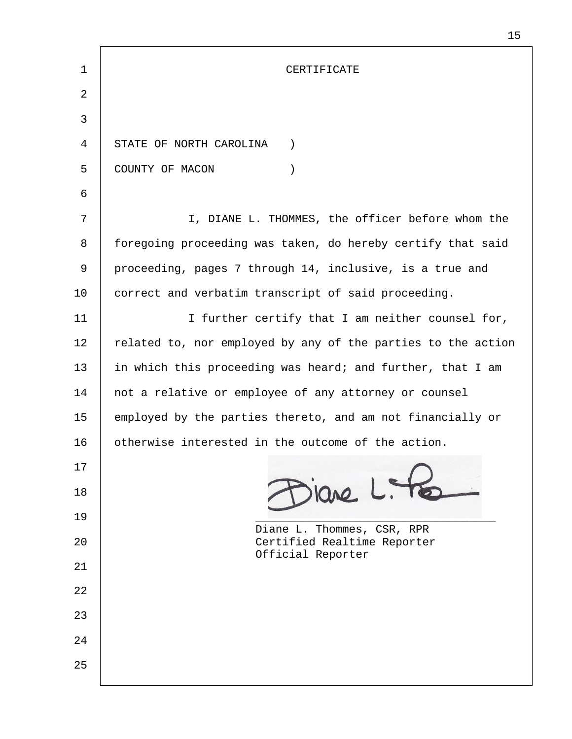| 1  | CERTIFICATE                                                  |
|----|--------------------------------------------------------------|
| 2  |                                                              |
| 3  |                                                              |
| 4  | STATE OF NORTH CAROLINA<br>$\left( \right)$                  |
| 5  | COUNTY OF MACON<br>$\mathcal{C}$                             |
| 6  |                                                              |
| 7  | I, DIANE L. THOMMES, the officer before whom the             |
| 8  | foregoing proceeding was taken, do hereby certify that said  |
| 9  | proceeding, pages 7 through 14, inclusive, is a true and     |
| 10 | correct and verbatim transcript of said proceeding.          |
| 11 | I further certify that I am neither counsel for,             |
| 12 | related to, nor employed by any of the parties to the action |
| 13 | in which this proceeding was heard; and further, that I am   |
| 14 | not a relative or employee of any attorney or counsel        |
| 15 | employed by the parties thereto, and am not financially or   |
| 16 | otherwise interested in the outcome of the action.           |
| 17 |                                                              |
| 18 | $310$<br>$1.7$                                               |
| 19 | Diane L. Thommes, CSR, RPR                                   |
| 20 | Certified Realtime Reporter<br>Official Reporter             |
| 21 |                                                              |
| 22 |                                                              |
| 23 |                                                              |
| 24 |                                                              |
| 25 |                                                              |